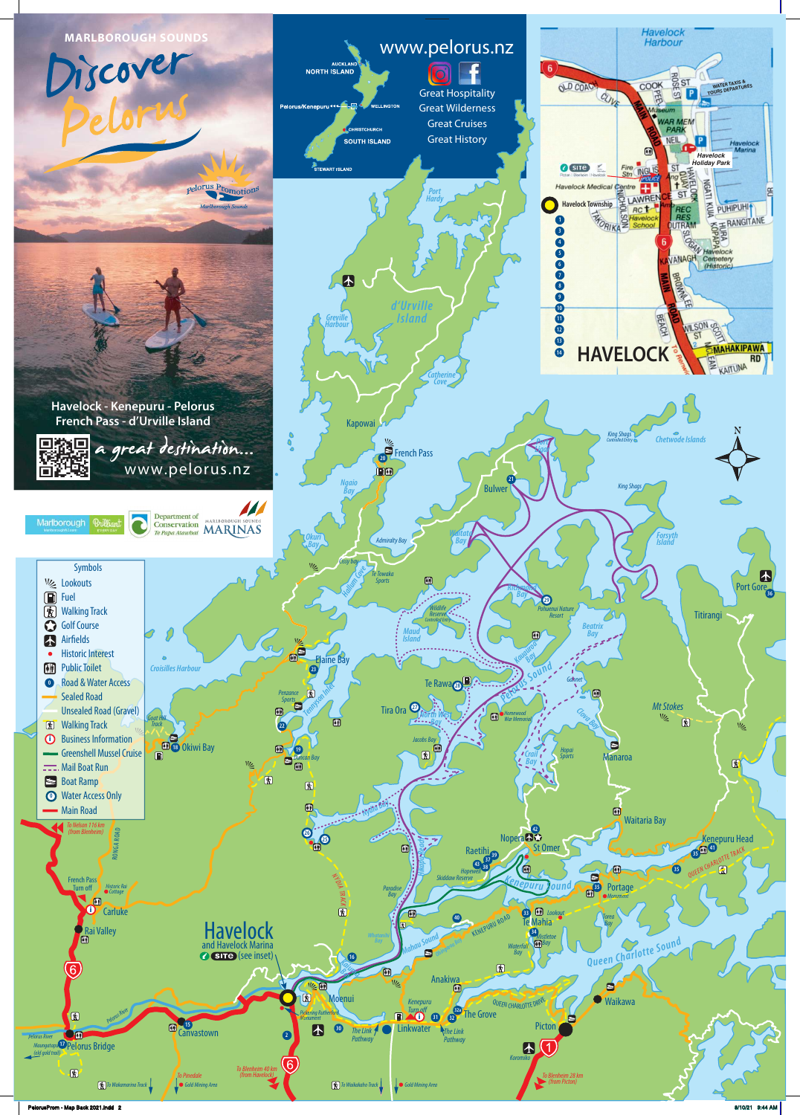



PelorusProm - Map Back 2021.indd 2 8/10/21 9:44 AM